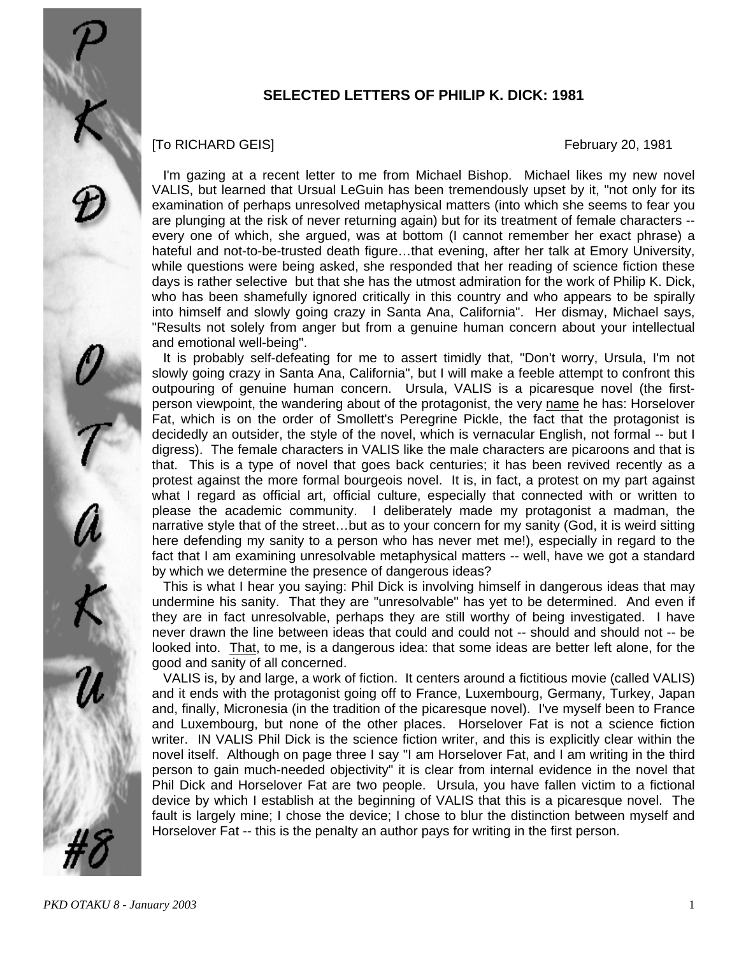

### [To RICHARD GEIS] February 20, 1981

 I'm gazing at a recent letter to me from Michael Bishop. Michael likes my new novel VALIS, but learned that Ursual LeGuin has been tremendously upset by it, "not only for its examination of perhaps unresolved metaphysical matters (into which she seems to fear you are plunging at the risk of never returning again) but for its treatment of female characters - every one of which, she argued, was at bottom (I cannot remember her exact phrase) a hateful and not-to-be-trusted death figure...that evening, after her talk at Emory University, while questions were being asked, she responded that her reading of science fiction these days is rather selective but that she has the utmost admiration for the work of Philip K. Dick, who has been shamefully ignored critically in this country and who appears to be spirally into himself and slowly going crazy in Santa Ana, California". Her dismay, Michael says, "Results not solely from anger but from a genuine human concern about your intellectual and emotional well-being".

 It is probably self-defeating for me to assert timidly that, "Don't worry, Ursula, I'm not slowly going crazy in Santa Ana, California", but I will make a feeble attempt to confront this outpouring of genuine human concern. Ursula, VALIS is a picaresque novel (the firstperson viewpoint, the wandering about of the protagonist, the very name he has: Horselover Fat, which is on the order of Smollett's Peregrine Pickle, the fact that the protagonist is decidedly an outsider, the style of the novel, which is vernacular English, not formal -- but I digress). The female characters in VALIS like the male characters are picaroons and that is that. This is a type of novel that goes back centuries; it has been revived recently as a protest against the more formal bourgeois novel. It is, in fact, a protest on my part against what I regard as official art, official culture, especially that connected with or written to please the academic community. I deliberately made my protagonist a madman, the narrative style that of the street…but as to your concern for my sanity (God, it is weird sitting here defending my sanity to a person who has never met me!), especially in regard to the fact that I am examining unresolvable metaphysical matters -- well, have we got a standard by which we determine the presence of dangerous ideas?

 This is what I hear you saying: Phil Dick is involving himself in dangerous ideas that may undermine his sanity. That they are "unresolvable" has yet to be determined. And even if they are in fact unresolvable, perhaps they are still worthy of being investigated. I have never drawn the line between ideas that could and could not -- should and should not -- be looked into. That, to me, is a dangerous idea: that some ideas are better left alone, for the good and sanity of all concerned.

 VALIS is, by and large, a work of fiction. It centers around a fictitious movie (called VALIS) and it ends with the protagonist going off to France, Luxembourg, Germany, Turkey, Japan and, finally, Micronesia (in the tradition of the picaresque novel). I've myself been to France and Luxembourg, but none of the other places. Horselover Fat is not a science fiction writer. IN VALIS Phil Dick is the science fiction writer, and this is explicitly clear within the novel itself. Although on page three I say "I am Horselover Fat, and I am writing in the third person to gain much-needed objectivity" it is clear from internal evidence in the novel that Phil Dick and Horselover Fat are two people. Ursula, you have fallen victim to a fictional device by which I establish at the beginning of VALIS that this is a picaresque novel. The fault is largely mine; I chose the device; I chose to blur the distinction between myself and Horselover Fat -- this is the penalty an author pays for writing in the first person.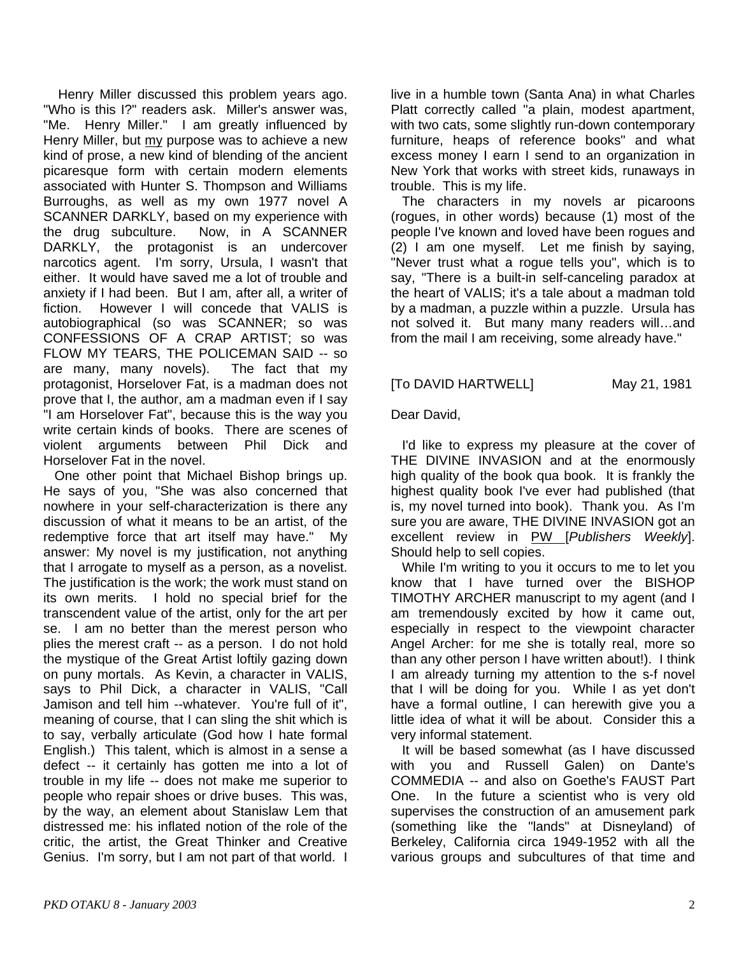Henry Miller discussed this problem years ago. "Who is this I?" readers ask. Miller's answer was, "Me. Henry Miller." I am greatly influenced by Henry Miller, but my purpose was to achieve a new kind of prose, a new kind of blending of the ancient picaresque form with certain modern elements associated with Hunter S. Thompson and Williams Burroughs, as well as my own 1977 novel A SCANNER DARKLY, based on my experience with the drug subculture. Now, in A SCANNER DARKLY, the protagonist is an undercover narcotics agent. I'm sorry, Ursula, I wasn't that either. It would have saved me a lot of trouble and anxiety if I had been. But I am, after all, a writer of fiction. However I will concede that VALIS is autobiographical (so was SCANNER; so was CONFESSIONS OF A CRAP ARTIST; so was FLOW MY TEARS, THE POLICEMAN SAID -- so are many, many novels). The fact that my protagonist, Horselover Fat, is a madman does not prove that I, the author, am a madman even if I say "I am Horselover Fat", because this is the way you write certain kinds of books. There are scenes of violent arguments between Phil Dick and Horselover Fat in the novel.

 One other point that Michael Bishop brings up. He says of you, "She was also concerned that nowhere in your self-characterization is there any discussion of what it means to be an artist, of the redemptive force that art itself may have." My answer: My novel is my justification, not anything that I arrogate to myself as a person, as a novelist. The justification is the work; the work must stand on its own merits. I hold no special brief for the transcendent value of the artist, only for the art per se. I am no better than the merest person who plies the merest craft -- as a person. I do not hold the mystique of the Great Artist loftily gazing down on puny mortals. As Kevin, a character in VALIS, says to Phil Dick, a character in VALIS, "Call Jamison and tell him --whatever. You're full of it", meaning of course, that I can sling the shit which is to say, verbally articulate (God how I hate formal English.) This talent, which is almost in a sense a defect -- it certainly has gotten me into a lot of trouble in my life -- does not make me superior to people who repair shoes or drive buses. This was, by the way, an element about Stanislaw Lem that distressed me: his inflated notion of the role of the critic, the artist, the Great Thinker and Creative Genius. I'm sorry, but I am not part of that world. I

live in a humble town (Santa Ana) in what Charles Platt correctly called "a plain, modest apartment, with two cats, some slightly run-down contemporary furniture, heaps of reference books" and what excess money I earn I send to an organization in New York that works with street kids, runaways in trouble. This is my life.

 The characters in my novels ar picaroons (rogues, in other words) because (1) most of the people I've known and loved have been rogues and (2) I am one myself. Let me finish by saying, "Never trust what a rogue tells you", which is to say, "There is a built-in self-canceling paradox at the heart of VALIS; it's a tale about a madman told by a madman, a puzzle within a puzzle. Ursula has not solved it. But many many readers will…and from the mail I am receiving, some already have."

## [To DAVID HARTWELL] May 21, 1981

Dear David,

 I'd like to express my pleasure at the cover of THE DIVINE INVASION and at the enormously high quality of the book qua book. It is frankly the highest quality book I've ever had published (that is, my novel turned into book). Thank you. As I'm sure you are aware, THE DIVINE INVASION got an excellent review in PW [*Publishers Weekly*]. Should help to sell copies.

 While I'm writing to you it occurs to me to let you know that I have turned over the BISHOP TIMOTHY ARCHER manuscript to my agent (and I am tremendously excited by how it came out, especially in respect to the viewpoint character Angel Archer: for me she is totally real, more so than any other person I have written about!). I think I am already turning my attention to the s-f novel that I will be doing for you. While I as yet don't have a formal outline, I can herewith give you a little idea of what it will be about. Consider this a very informal statement.

 It will be based somewhat (as I have discussed with you and Russell Galen) on Dante's COMMEDIA -- and also on Goethe's FAUST Part One. In the future a scientist who is very old supervises the construction of an amusement park (something like the "lands" at Disneyland) of Berkeley, California circa 1949-1952 with all the various groups and subcultures of that time and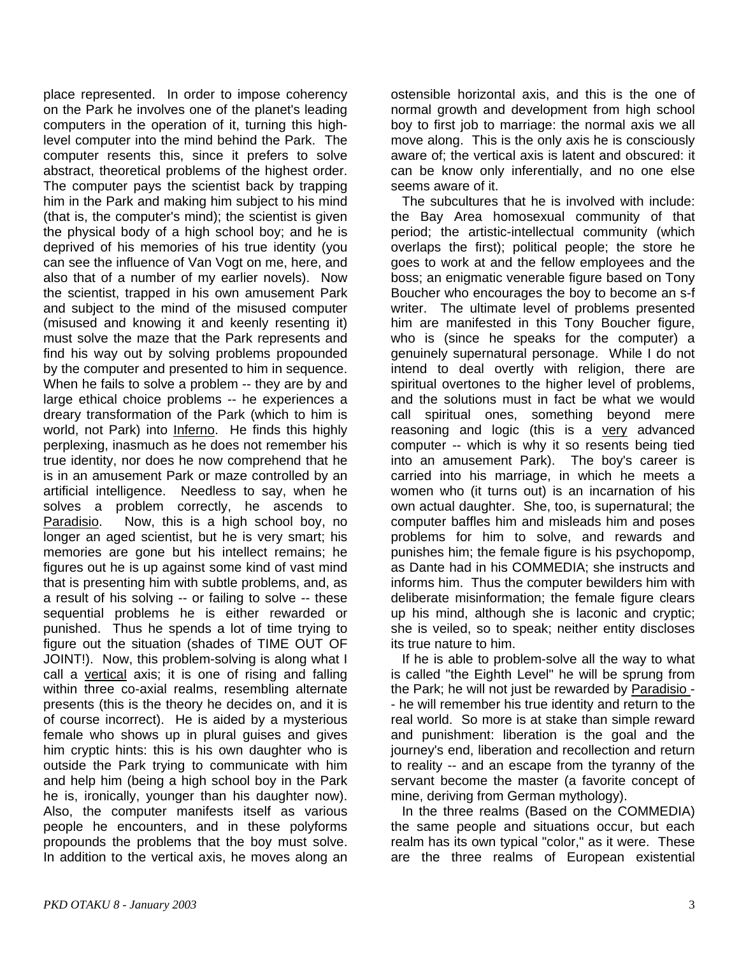place represented. In order to impose coherency on the Park he involves one of the planet's leading computers in the operation of it, turning this highlevel computer into the mind behind the Park. The computer resents this, since it prefers to solve abstract, theoretical problems of the highest order. The computer pays the scientist back by trapping him in the Park and making him subject to his mind (that is, the computer's mind); the scientist is given the physical body of a high school boy; and he is deprived of his memories of his true identity (you can see the influence of Van Vogt on me, here, and also that of a number of my earlier novels). Now the scientist, trapped in his own amusement Park and subject to the mind of the misused computer (misused and knowing it and keenly resenting it) must solve the maze that the Park represents and find his way out by solving problems propounded by the computer and presented to him in sequence. When he fails to solve a problem -- they are by and large ethical choice problems -- he experiences a dreary transformation of the Park (which to him is world, not Park) into Inferno. He finds this highly perplexing, inasmuch as he does not remember his true identity, nor does he now comprehend that he is in an amusement Park or maze controlled by an artificial intelligence. Needless to say, when he solves a problem correctly, he ascends to Paradisio. Now, this is a high school boy, no longer an aged scientist, but he is very smart; his memories are gone but his intellect remains; he figures out he is up against some kind of vast mind that is presenting him with subtle problems, and, as a result of his solving -- or failing to solve -- these sequential problems he is either rewarded or punished. Thus he spends a lot of time trying to figure out the situation (shades of TIME OUT OF JOINT!). Now, this problem-solving is along what I call a vertical axis; it is one of rising and falling within three co-axial realms, resembling alternate presents (this is the theory he decides on, and it is of course incorrect). He is aided by a mysterious female who shows up in plural guises and gives him cryptic hints: this is his own daughter who is outside the Park trying to communicate with him and help him (being a high school boy in the Park he is, ironically, younger than his daughter now). Also, the computer manifests itself as various people he encounters, and in these polyforms propounds the problems that the boy must solve. In addition to the vertical axis, he moves along an

ostensible horizontal axis, and this is the one of normal growth and development from high school boy to first job to marriage: the normal axis we all move along. This is the only axis he is consciously aware of; the vertical axis is latent and obscured: it can be know only inferentially, and no one else seems aware of it.

 The subcultures that he is involved with include: the Bay Area homosexual community of that period; the artistic-intellectual community (which overlaps the first); political people; the store he goes to work at and the fellow employees and the boss; an enigmatic venerable figure based on Tony Boucher who encourages the boy to become an s-f writer. The ultimate level of problems presented him are manifested in this Tony Boucher figure, who is (since he speaks for the computer) a genuinely supernatural personage. While I do not intend to deal overtly with religion, there are spiritual overtones to the higher level of problems, and the solutions must in fact be what we would call spiritual ones, something beyond mere reasoning and logic (this is a very advanced computer -- which is why it so resents being tied into an amusement Park). The boy's career is carried into his marriage, in which he meets a women who (it turns out) is an incarnation of his own actual daughter. She, too, is supernatural; the computer baffles him and misleads him and poses problems for him to solve, and rewards and punishes him; the female figure is his psychopomp, as Dante had in his COMMEDIA; she instructs and informs him. Thus the computer bewilders him with deliberate misinformation; the female figure clears up his mind, although she is laconic and cryptic; she is veiled, so to speak; neither entity discloses its true nature to him.

 If he is able to problem-solve all the way to what is called "the Eighth Level" he will be sprung from the Park; he will not just be rewarded by Paradisio -- he will remember his true identity and return to the real world. So more is at stake than simple reward and punishment: liberation is the goal and the journey's end, liberation and recollection and return to reality -- and an escape from the tyranny of the servant become the master (a favorite concept of mine, deriving from German mythology).

 In the three realms (Based on the COMMEDIA) the same people and situations occur, but each realm has its own typical "color," as it were. These are the three realms of European existential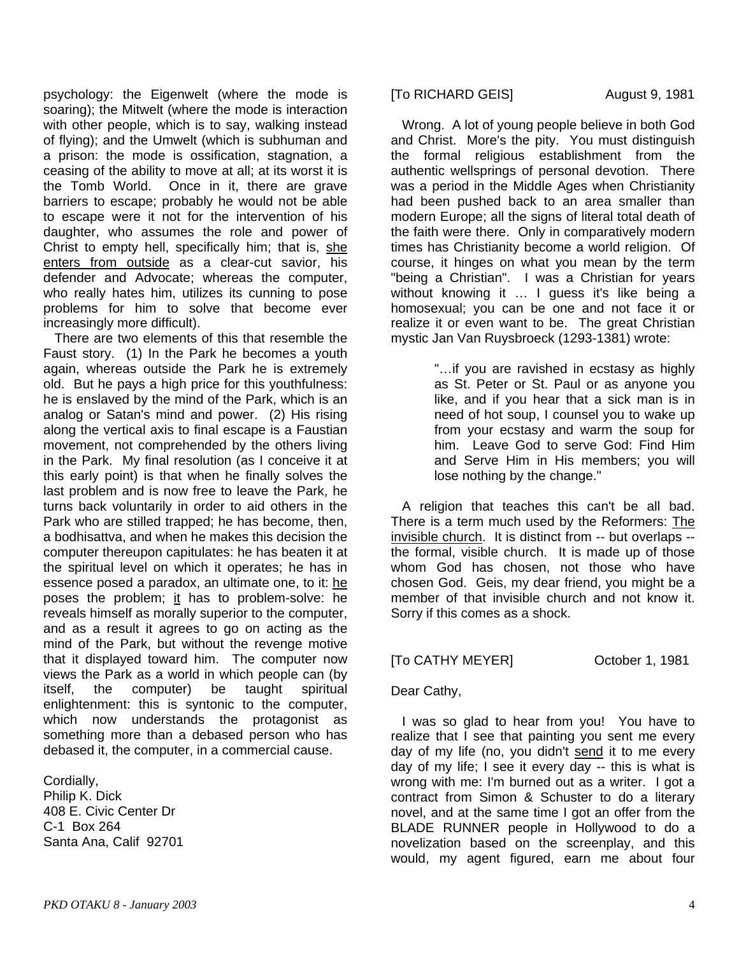psychology: the Eigenwelt (where the mode is soaring); the Mitwelt (where the mode is interaction with other people, which is to say, walking instead of flying); and the Umwelt (which is subhuman and a prison: the mode is ossification, stagnation, a ceasing of the ability to move at all; at its worst it is the Tomb World. Once in it, there are grave barriers to escape; probably he would not be able to escape were it not for the intervention of his daughter, who assumes the role and power of Christ to empty hell, specifically him; that is, she enters from outside as a clear-cut savior, his defender and Advocate; whereas the computer, who really hates him, utilizes its cunning to pose problems for him to solve that become ever increasingly more difficult).

 There are two elements of this that resemble the Faust story. (1) In the Park he becomes a youth again, whereas outside the Park he is extremely old. But he pays a high price for this youthfulness: he is enslaved by the mind of the Park, which is an analog or Satan's mind and power. (2) His rising along the vertical axis to final escape is a Faustian movement, not comprehended by the others living in the Park. My final resolution (as I conceive it at this early point) is that when he finally solves the last problem and is now free to leave the Park, he turns back voluntarily in order to aid others in the Park who are stilled trapped; he has become, then, a bodhisattva, and when he makes this decision the computer thereupon capitulates: he has beaten it at the spiritual level on which it operates; he has in essence posed a paradox, an ultimate one, to it: he poses the problem; it has to problem-solve: he reveals himself as morally superior to the computer, and as a result it agrees to go on acting as the mind of the Park, but without the revenge motive that it displayed toward him. The computer now views the Park as a world in which people can (by itself, the computer) be taught spiritual itself, the computer) be taught enlightenment: this is syntonic to the computer, which now understands the protagonist as something more than a debased person who has debased it, the computer, in a commercial cause.

Cordially, Philip K. Dick 408 E. Civic Center Dr C-1 Box 264 Santa Ana, Calif 92701

### [To RICHARD GEIS] August 9, 1981

 Wrong. A lot of young people believe in both God and Christ. More's the pity. You must distinguish the formal religious establishment from the authentic wellsprings of personal devotion. There was a period in the Middle Ages when Christianity had been pushed back to an area smaller than modern Europe; all the signs of literal total death of the faith were there. Only in comparatively modern times has Christianity become a world religion. Of course, it hinges on what you mean by the term "being a Christian". I was a Christian for years without knowing it ... I guess it's like being a homosexual; you can be one and not face it or realize it or even want to be. The great Christian mystic Jan Van Ruysbroeck (1293-1381) wrote:

> "…if you are ravished in ecstasy as highly as St. Peter or St. Paul or as anyone you like, and if you hear that a sick man is in need of hot soup, I counsel you to wake up from your ecstasy and warm the soup for him. Leave God to serve God: Find Him and Serve Him in His members; you will lose nothing by the change."

 A religion that teaches this can't be all bad. There is a term much used by the Reformers: The invisible church. It is distinct from -- but overlaps - the formal, visible church. It is made up of those whom God has chosen, not those who have chosen God. Geis, my dear friend, you might be a member of that invisible church and not know it. Sorry if this comes as a shock.

[To CATHY MEYER] October 1, 1981

### Dear Cathy,

 I was so glad to hear from you! You have to realize that I see that painting you sent me every day of my life (no, you didn't send it to me every day of my life; I see it every day -- this is what is wrong with me: I'm burned out as a writer. I got a contract from Simon & Schuster to do a literary novel, and at the same time I got an offer from the BLADE RUNNER people in Hollywood to do a novelization based on the screenplay, and this would, my agent figured, earn me about four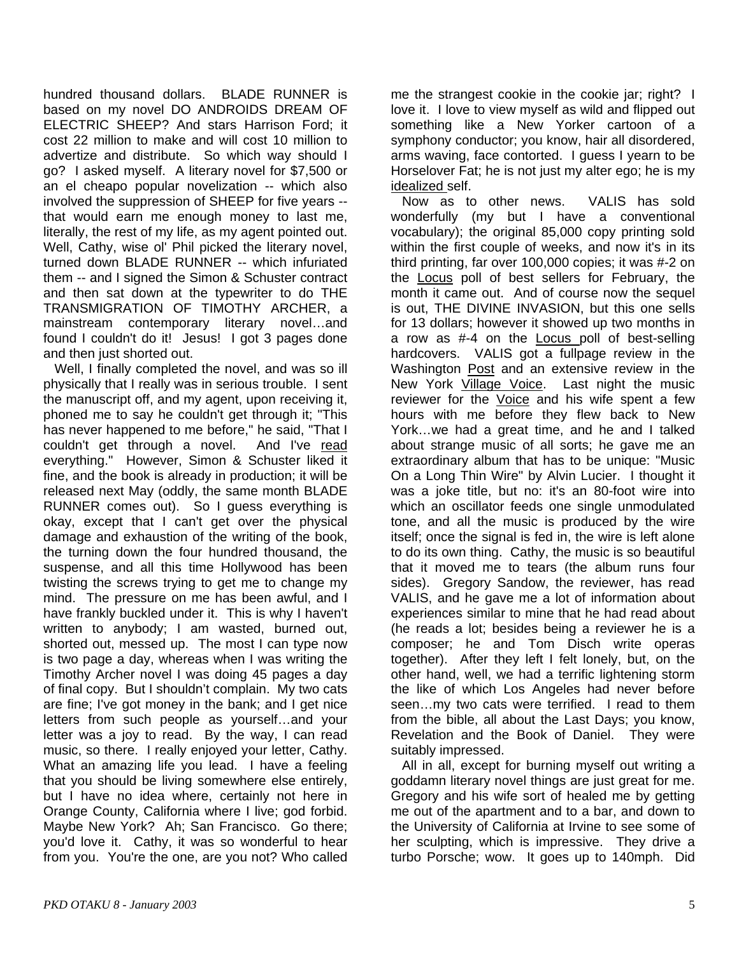hundred thousand dollars. BLADE RUNNER is based on my novel DO ANDROIDS DREAM OF ELECTRIC SHEEP? And stars Harrison Ford; it cost 22 million to make and will cost 10 million to advertize and distribute. So which way should I go? I asked myself. A literary novel for \$7,500 or an el cheapo popular novelization -- which also involved the suppression of SHEEP for five years - that would earn me enough money to last me, literally, the rest of my life, as my agent pointed out. Well, Cathy, wise ol' Phil picked the literary novel, turned down BLADE RUNNER -- which infuriated them -- and I signed the Simon & Schuster contract and then sat down at the typewriter to do THE TRANSMIGRATION OF TIMOTHY ARCHER, a mainstream contemporary literary novel…and found I couldn't do it! Jesus! I got 3 pages done and then just shorted out.

 Well, I finally completed the novel, and was so ill physically that I really was in serious trouble. I sent the manuscript off, and my agent, upon receiving it, phoned me to say he couldn't get through it; "This has never happened to me before," he said, "That I couldn't get through a novel. And I've read everything." However, Simon & Schuster liked it fine, and the book is already in production; it will be released next May (oddly, the same month BLADE RUNNER comes out). So I guess everything is okay, except that I can't get over the physical damage and exhaustion of the writing of the book, the turning down the four hundred thousand, the suspense, and all this time Hollywood has been twisting the screws trying to get me to change my mind. The pressure on me has been awful, and I have frankly buckled under it. This is why I haven't written to anybody; I am wasted, burned out, shorted out, messed up. The most I can type now is two page a day, whereas when I was writing the Timothy Archer novel I was doing 45 pages a day of final copy. But I shouldn't complain. My two cats are fine; I've got money in the bank; and I get nice letters from such people as yourself…and your letter was a joy to read. By the way, I can read music, so there. I really enjoyed your letter, Cathy. What an amazing life you lead. I have a feeling that you should be living somewhere else entirely, but I have no idea where, certainly not here in Orange County, California where I live; god forbid. Maybe New York? Ah; San Francisco. Go there; you'd love it. Cathy, it was so wonderful to hear from you. You're the one, are you not? Who called

me the strangest cookie in the cookie jar; right? I love it. I love to view myself as wild and flipped out something like a New Yorker cartoon of a symphony conductor; you know, hair all disordered, arms waving, face contorted. I guess I yearn to be Horselover Fat; he is not just my alter ego; he is my idealized self.

 Now as to other news. VALIS has sold wonderfully (my but I have a conventional vocabulary); the original 85,000 copy printing sold within the first couple of weeks, and now it's in its third printing, far over 100,000 copies; it was #-2 on the Locus poll of best sellers for February, the month it came out. And of course now the sequel is out, THE DIVINE INVASION, but this one sells for 13 dollars; however it showed up two months in a row as #-4 on the **Locus** poll of best-selling hardcovers. VALIS got a fullpage review in the Washington Post and an extensive review in the New York Village Voice. Last night the music reviewer for the Voice and his wife spent a few hours with me before they flew back to New York…we had a great time, and he and I talked about strange music of all sorts; he gave me an extraordinary album that has to be unique: "Music On a Long Thin Wire" by Alvin Lucier. I thought it was a joke title, but no: it's an 80-foot wire into which an oscillator feeds one single unmodulated tone, and all the music is produced by the wire itself; once the signal is fed in, the wire is left alone to do its own thing. Cathy, the music is so beautiful that it moved me to tears (the album runs four sides). Gregory Sandow, the reviewer, has read VALIS, and he gave me a lot of information about experiences similar to mine that he had read about (he reads a lot; besides being a reviewer he is a composer; he and Tom Disch write operas together). After they left I felt lonely, but, on the other hand, well, we had a terrific lightening storm the like of which Los Angeles had never before seen…my two cats were terrified. I read to them from the bible, all about the Last Days; you know, Revelation and the Book of Daniel. They were suitably impressed.

 All in all, except for burning myself out writing a goddamn literary novel things are just great for me. Gregory and his wife sort of healed me by getting me out of the apartment and to a bar, and down to the University of California at Irvine to see some of her sculpting, which is impressive. They drive a turbo Porsche; wow. It goes up to 140mph. Did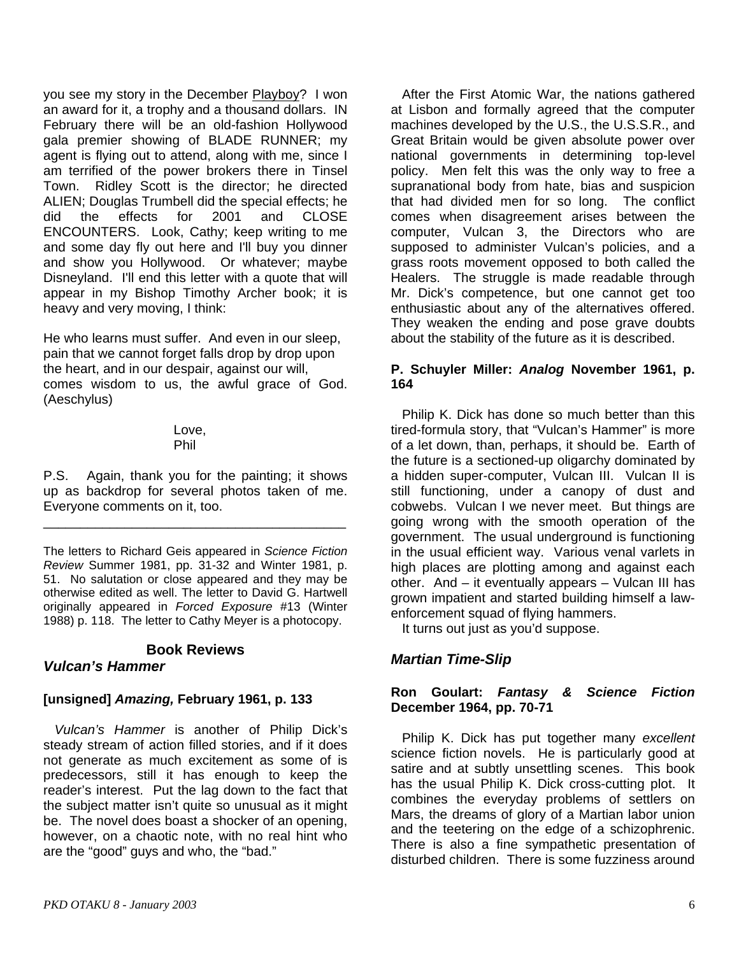you see my story in the December Playboy? I won an award for it, a trophy and a thousand dollars. IN February there will be an old-fashion Hollywood gala premier showing of BLADE RUNNER; my agent is flying out to attend, along with me, since I am terrified of the power brokers there in Tinsel Town. Ridley Scott is the director; he directed ALIEN; Douglas Trumbell did the special effects; he did the effects for 2001 and CLOSE ENCOUNTERS. Look, Cathy; keep writing to me and some day fly out here and I'll buy you dinner and show you Hollywood. Or whatever; maybe Disneyland. I'll end this letter with a quote that will appear in my Bishop Timothy Archer book; it is heavy and very moving, I think:

He who learns must suffer. And even in our sleep, pain that we cannot forget falls drop by drop upon the heart, and in our despair, against our will, comes wisdom to us, the awful grace of God. (Aeschylus)

#### Love, Phil

P.S. Again, thank you for the painting; it shows up as backdrop for several photos taken of me. Everyone comments on it, too.

\_\_\_\_\_\_\_\_\_\_\_\_\_\_\_\_\_\_\_\_\_\_\_\_\_\_\_\_\_\_\_\_\_\_\_\_\_\_\_\_\_

The letters to Richard Geis appeared in *Science Fiction Review* Summer 1981, pp. 31-32 and Winter 1981, p. 51. No salutation or close appeared and they may be otherwise edited as well. The letter to David G. Hartwell originally appeared in *Forced Exposure* #13 (Winter 1988) p. 118. The letter to Cathy Meyer is a photocopy.

### **Book Reviews**

## *Vulcan's Hammer*

## **[unsigned]** *Amazing,* **February 1961, p. 133**

 *Vulcan's Hammer* is another of Philip Dick's steady stream of action filled stories, and if it does not generate as much excitement as some of is predecessors, still it has enough to keep the reader's interest. Put the lag down to the fact that the subject matter isn't quite so unusual as it might be. The novel does boast a shocker of an opening, however, on a chaotic note, with no real hint who are the "good" guys and who, the "bad."

 After the First Atomic War, the nations gathered at Lisbon and formally agreed that the computer machines developed by the U.S., the U.S.S.R., and Great Britain would be given absolute power over national governments in determining top-level policy. Men felt this was the only way to free a supranational body from hate, bias and suspicion that had divided men for so long. The conflict comes when disagreement arises between the computer, Vulcan 3, the Directors who are supposed to administer Vulcan's policies, and a grass roots movement opposed to both called the Healers. The struggle is made readable through Mr. Dick's competence, but one cannot get too enthusiastic about any of the alternatives offered. They weaken the ending and pose grave doubts about the stability of the future as it is described.

### **P. Schuyler Miller:** *Analog* **November 1961, p. 164**

 Philip K. Dick has done so much better than this tired-formula story, that "Vulcan's Hammer" is more of a let down, than, perhaps, it should be. Earth of the future is a sectioned-up oligarchy dominated by a hidden super-computer, Vulcan III. Vulcan II is still functioning, under a canopy of dust and cobwebs. Vulcan I we never meet. But things are going wrong with the smooth operation of the government. The usual underground is functioning in the usual efficient way. Various venal varlets in high places are plotting among and against each other. And – it eventually appears – Vulcan III has grown impatient and started building himself a lawenforcement squad of flying hammers.

It turns out just as you'd suppose.

# *Martian Time-Slip*

### **Ron Goulart:** *Fantasy & Science Fiction*  **December 1964, pp. 70-71**

 Philip K. Dick has put together many *excellent* science fiction novels. He is particularly good at satire and at subtly unsettling scenes. This book has the usual Philip K. Dick cross-cutting plot. It combines the everyday problems of settlers on Mars, the dreams of glory of a Martian labor union and the teetering on the edge of a schizophrenic. There is also a fine sympathetic presentation of disturbed children. There is some fuzziness around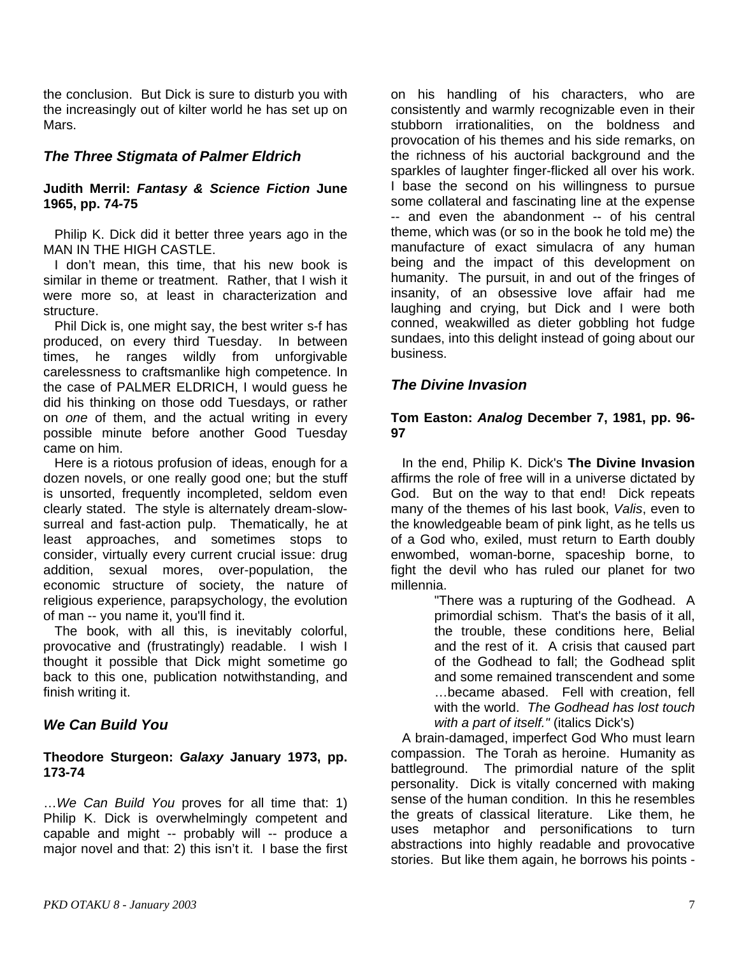the conclusion. But Dick is sure to disturb you with the increasingly out of kilter world he has set up on Mars.

## *The Three Stigmata of Palmer Eldrich*

### **Judith Merril:** *Fantasy & Science Fiction* **June 1965, pp. 74-75**

Philip K. Dick did it better three years ago in the MAN IN THE HIGH CASTLE.

 I don't mean, this time, that his new book is similar in theme or treatment. Rather, that I wish it were more so, at least in characterization and structure.

 Phil Dick is, one might say, the best writer s-f has produced, on every third Tuesday. In between times, he ranges wildly from unforgivable carelessness to craftsmanlike high competence. In the case of PALMER ELDRICH, I would guess he did his thinking on those odd Tuesdays, or rather on *one* of them, and the actual writing in every possible minute before another Good Tuesday came on him.

 Here is a riotous profusion of ideas, enough for a dozen novels, or one really good one; but the stuff is unsorted, frequently incompleted, seldom even clearly stated. The style is alternately dream-slowsurreal and fast-action pulp. Thematically, he at least approaches, and sometimes stops to consider, virtually every current crucial issue: drug addition, sexual mores, over-population, the economic structure of society, the nature of religious experience, parapsychology, the evolution of man -- you name it, you'll find it.

 The book, with all this, is inevitably colorful, provocative and (frustratingly) readable. I wish I thought it possible that Dick might sometime go back to this one, publication notwithstanding, and finish writing it.

# *We Can Build You*

#### **Theodore Sturgeon:** *Galaxy* **January 1973, pp. 173-74**

…*We Can Build You* proves for all time that: 1) Philip K. Dick is overwhelmingly competent and capable and might -- probably will -- produce a major novel and that: 2) this isn't it. I base the first

on his handling of his characters, who are consistently and warmly recognizable even in their stubborn irrationalities, on the boldness and provocation of his themes and his side remarks, on the richness of his auctorial background and the sparkles of laughter finger-flicked all over his work. I base the second on his willingness to pursue some collateral and fascinating line at the expense -- and even the abandonment -- of his central theme, which was (or so in the book he told me) the manufacture of exact simulacra of any human being and the impact of this development on humanity. The pursuit, in and out of the fringes of insanity, of an obsessive love affair had me laughing and crying, but Dick and I were both conned, weakwilled as dieter gobbling hot fudge sundaes, into this delight instead of going about our business.

## *The Divine Invasion*

### **Tom Easton:** *Analog* **December 7, 1981, pp. 96- 97**

 In the end, Philip K. Dick's **The Divine Invasion**  affirms the role of free will in a universe dictated by God. But on the way to that end! Dick repeats many of the themes of his last book, *Valis*, even to the knowledgeable beam of pink light, as he tells us of a God who, exiled, must return to Earth doubly enwombed, woman-borne, spaceship borne, to fight the devil who has ruled our planet for two millennia.

"There was a rupturing of the Godhead. A primordial schism. That's the basis of it all, the trouble, these conditions here, Belial and the rest of it. A crisis that caused part of the Godhead to fall; the Godhead split and some remained transcendent and some …became abased. Fell with creation, fell with the world. *The Godhead has lost touch with a part of itself."* (italics Dick's)

 A brain-damaged, imperfect God Who must learn compassion. The Torah as heroine. Humanity as battleground. The primordial nature of the split personality. Dick is vitally concerned with making sense of the human condition. In this he resembles the greats of classical literature. Like them, he uses metaphor and personifications to turn abstractions into highly readable and provocative stories. But like them again, he borrows his points -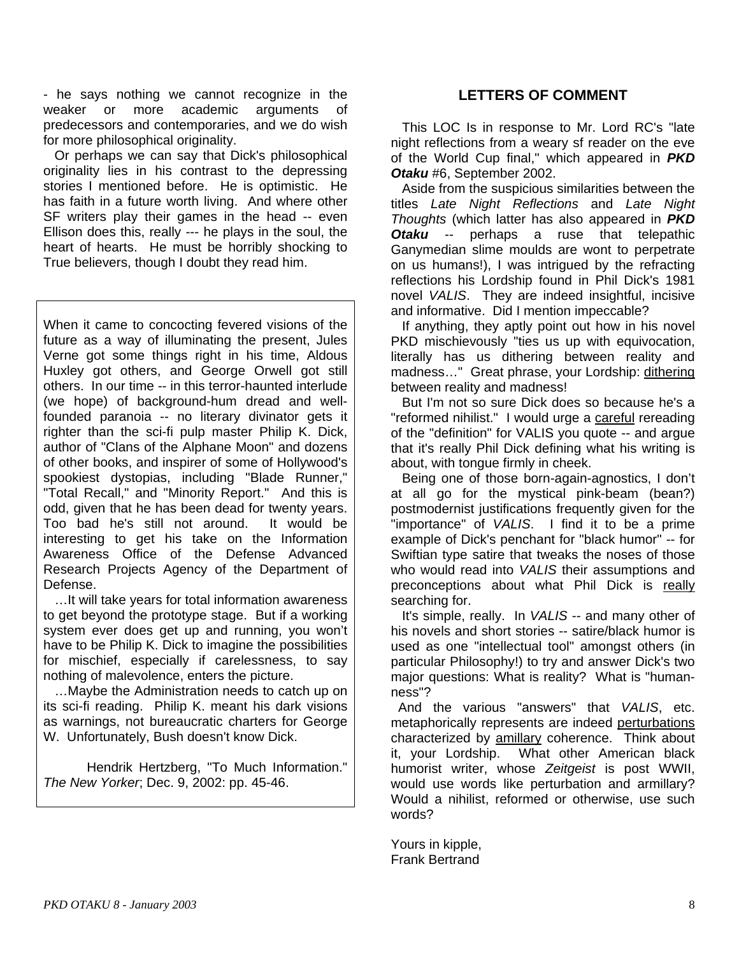- he says nothing we cannot recognize in the weaker or more academic arguments of predecessors and contemporaries, and we do wish for more philosophical originality.

 Or perhaps we can say that Dick's philosophical originality lies in his contrast to the depressing stories I mentioned before. He is optimistic. He has faith in a future worth living. And where other SF writers play their games in the head -- even Ellison does this, really --- he plays in the soul, the heart of hearts. He must be horribly shocking to True believers, though I doubt they read him.

When it came to concocting fevered visions of the future as a way of illuminating the present, Jules Verne got some things right in his time, Aldous Huxley got others, and George Orwell got still others. In our time -- in this terror-haunted interlude (we hope) of background-hum dread and wellfounded paranoia -- no literary divinator gets it righter than the sci-fi pulp master Philip K. Dick, author of "Clans of the Alphane Moon" and dozens of other books, and inspirer of some of Hollywood's spookiest dystopias, including "Blade Runner," "Total Recall," and "Minority Report." And this is odd, given that he has been dead for twenty years. Too bad he's still not around. It would be interesting to get his take on the Information Awareness Office of the Defense Advanced Research Projects Agency of the Department of Defense.

 …It will take years for total information awareness to get beyond the prototype stage. But if a working system ever does get up and running, you won't have to be Philip K. Dick to imagine the possibilities for mischief, especially if carelessness, to say nothing of malevolence, enters the picture.

 …Maybe the Administration needs to catch up on its sci-fi reading. Philip K. meant his dark visions as warnings, not bureaucratic charters for George W. Unfortunately, Bush doesn't know Dick.

Hendrik Hertzberg, "To Much Information." *The New Yorker*; Dec. 9, 2002: pp. 45-46.

### **LETTERS OF COMMENT**

 This LOC Is in response to Mr. Lord RC's "late night reflections from a weary sf reader on the eve of the World Cup final," which appeared in *PKD Otaku* #6, September 2002.

 Aside from the suspicious similarities between the titles *Late Night Reflections* and *Late Night Thoughts* (which latter has also appeared in *PKD Otaku* -- perhaps a ruse that telepathic Ganymedian slime moulds are wont to perpetrate on us humans!), I was intrigued by the refracting reflections his Lordship found in Phil Dick's 1981 novel *VALIS*. They are indeed insightful, incisive and informative. Did I mention impeccable?

 If anything, they aptly point out how in his novel PKD mischievously "ties us up with equivocation, literally has us dithering between reality and madness…" Great phrase, your Lordship: dithering between reality and madness!

 But I'm not so sure Dick does so because he's a "reformed nihilist." I would urge a careful rereading of the "definition" for VALIS you quote -- and argue that it's really Phil Dick defining what his writing is about, with tongue firmly in cheek.

 Being one of those born-again-agnostics, I don't at all go for the mystical pink-beam (bean?) postmodernist justifications frequently given for the "importance" of *VALIS*. I find it to be a prime example of Dick's penchant for "black humor" -- for Swiftian type satire that tweaks the noses of those who would read into *VALIS* their assumptions and preconceptions about what Phil Dick is really searching for.

 It's simple, really. In *VALIS* -- and many other of his novels and short stories -- satire/black humor is used as one "intellectual tool" amongst others (in particular Philosophy!) to try and answer Dick's two major questions: What is reality? What is "humanness"?

 And the various "answers" that *VALIS*, etc. metaphorically represents are indeed perturbations characterized by amillary coherence. Think about it, your Lordship. What other American black humorist writer, whose *Zeitgeist* is post WWII, would use words like perturbation and armillary? Would a nihilist, reformed or otherwise, use such words?

Yours in kipple, Frank Bertrand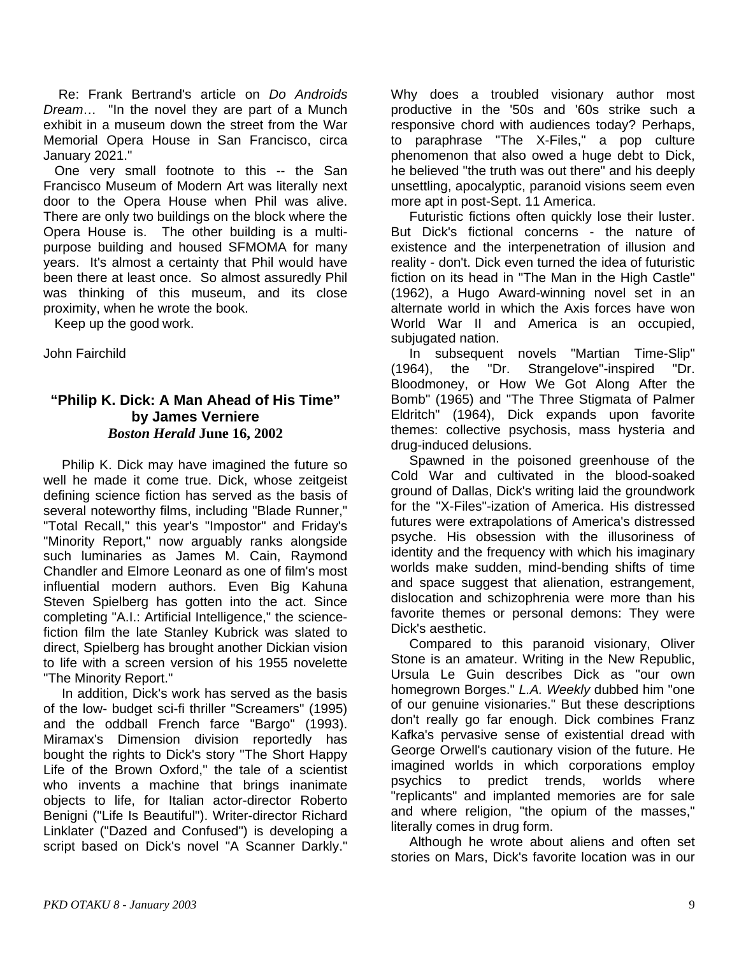Re: Frank Bertrand's article on *Do Androids Dream*… "In the novel they are part of a Munch exhibit in a museum down the street from the War Memorial Opera House in San Francisco, circa January 2021."

 One very small footnote to this -- the San Francisco Museum of Modern Art was literally next door to the Opera House when Phil was alive. There are only two buildings on the block where the Opera House is. The other building is a multipurpose building and housed SFMOMA for many years. It's almost a certainty that Phil would have been there at least once. So almost assuredly Phil was thinking of this museum, and its close proximity, when he wrote the book.

Keep up the good work.

John Fairchild

### **"Philip K. Dick: A Man Ahead of His Time" by James Verniere**  *Boston Herald* **June 16, 2002**

 Philip K. Dick may have imagined the future so well he made it come true. Dick, whose zeitgeist defining science fiction has served as the basis of several noteworthy films, including "Blade Runner," "Total Recall," this year's "Impostor" and Friday's "Minority Report," now arguably ranks alongside such luminaries as James M. Cain, Raymond Chandler and Elmore Leonard as one of film's most influential modern authors. Even Big Kahuna Steven Spielberg has gotten into the act. Since completing "A.I.: Artificial Intelligence," the sciencefiction film the late Stanley Kubrick was slated to direct, Spielberg has brought another Dickian vision to life with a screen version of his 1955 novelette "The Minority Report."

 In addition, Dick's work has served as the basis of the low- budget sci-fi thriller "Screamers" (1995) and the oddball French farce "Bargo" (1993). Miramax's Dimension division reportedly has bought the rights to Dick's story "The Short Happy Life of the Brown Oxford," the tale of a scientist who invents a machine that brings inanimate objects to life, for Italian actor-director Roberto Benigni ("Life Is Beautiful"). Writer-director Richard Linklater ("Dazed and Confused") is developing a script based on Dick's novel "A Scanner Darkly."

Why does a troubled visionary author most productive in the '50s and '60s strike such a responsive chord with audiences today? Perhaps, to paraphrase "The X-Files," a pop culture phenomenon that also owed a huge debt to Dick, he believed "the truth was out there" and his deeply unsettling, apocalyptic, paranoid visions seem even more apt in post-Sept. 11 America.

 Futuristic fictions often quickly lose their luster. But Dick's fictional concerns - the nature of existence and the interpenetration of illusion and reality - don't. Dick even turned the idea of futuristic fiction on its head in "The Man in the High Castle" (1962), a Hugo Award-winning novel set in an alternate world in which the Axis forces have won World War II and America is an occupied, subjugated nation.

 In subsequent novels "Martian Time-Slip" (1964), the "Dr. Strangelove"-inspired "Dr. Bloodmoney, or How We Got Along After the Bomb" (1965) and "The Three Stigmata of Palmer Eldritch" (1964), Dick expands upon favorite themes: collective psychosis, mass hysteria and drug-induced delusions.

 Spawned in the poisoned greenhouse of the Cold War and cultivated in the blood-soaked ground of Dallas, Dick's writing laid the groundwork for the "X-Files"-ization of America. His distressed futures were extrapolations of America's distressed psyche. His obsession with the illusoriness of identity and the frequency with which his imaginary worlds make sudden, mind-bending shifts of time and space suggest that alienation, estrangement, dislocation and schizophrenia were more than his favorite themes or personal demons: They were Dick's aesthetic.

 Compared to this paranoid visionary, Oliver Stone is an amateur. Writing in the New Republic, Ursula Le Guin describes Dick as "our own homegrown Borges." *L.A. Weekly* dubbed him "one of our genuine visionaries." But these descriptions don't really go far enough. Dick combines Franz Kafka's pervasive sense of existential dread with George Orwell's cautionary vision of the future. He imagined worlds in which corporations employ psychics to predict trends, worlds where "replicants" and implanted memories are for sale and where religion, "the opium of the masses," literally comes in drug form.

 Although he wrote about aliens and often set stories on Mars, Dick's favorite location was in our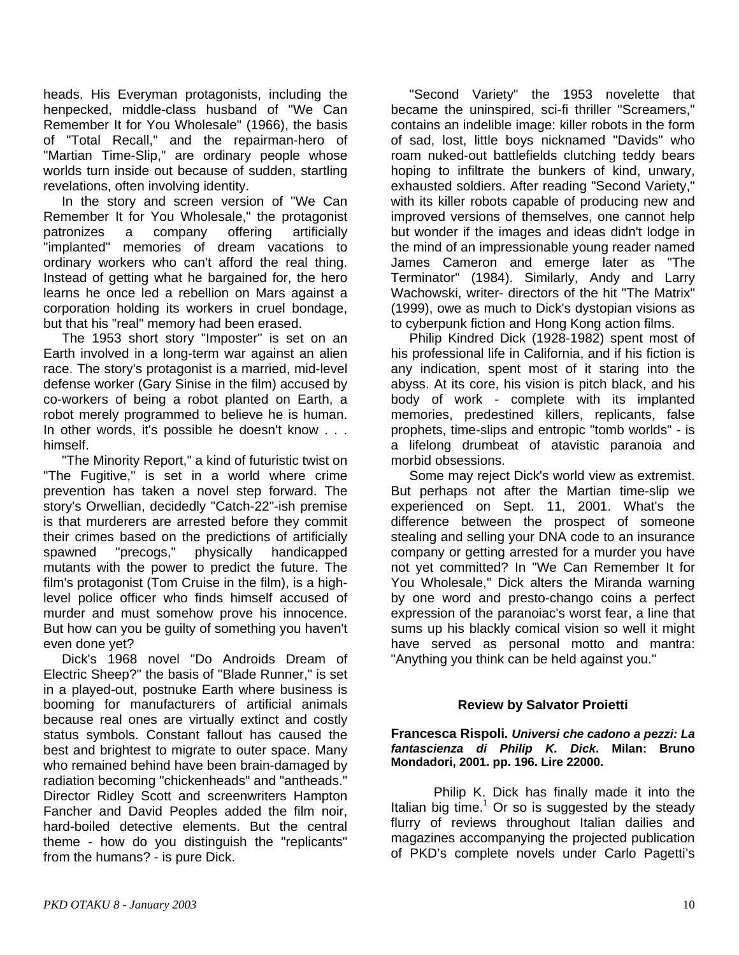heads. His Everyman protagonists, including the henpecked, middle-class husband of "We Can Remember It for You Wholesale" (1966), the basis of "Total Recall," and the repairman-hero of "Martian Time-Slip," are ordinary people whose worlds turn inside out because of sudden, startling revelations, often involving identity.

 In the story and screen version of "We Can Remember It for You Wholesale," the protagonist patronizes a company offering artificially "implanted" memories of dream vacations to ordinary workers who can't afford the real thing. Instead of getting what he bargained for, the hero learns he once led a rebellion on Mars against a corporation holding its workers in cruel bondage, but that his "real" memory had been erased.

 The 1953 short story "Imposter" is set on an Earth involved in a long-term war against an alien race. The story's protagonist is a married, mid-level defense worker (Gary Sinise in the film) accused by co-workers of being a robot planted on Earth, a robot merely programmed to believe he is human. In other words, it's possible he doesn't know . . . himself.

 "The Minority Report," a kind of futuristic twist on "The Fugitive," is set in a world where crime prevention has taken a novel step forward. The story's Orwellian, decidedly "Catch-22"-ish premise is that murderers are arrested before they commit their crimes based on the predictions of artificially spawned "precogs," physically handicapped mutants with the power to predict the future. The film's protagonist (Tom Cruise in the film), is a highlevel police officer who finds himself accused of murder and must somehow prove his innocence. But how can you be guilty of something you haven't even done yet?

 Dick's 1968 novel "Do Androids Dream of Electric Sheep?" the basis of "Blade Runner," is set in a played-out, postnuke Earth where business is booming for manufacturers of artificial animals because real ones are virtually extinct and costly status symbols. Constant fallout has caused the best and brightest to migrate to outer space. Many who remained behind have been brain-damaged by radiation becoming "chickenheads" and "antheads." Director Ridley Scott and screenwriters Hampton Fancher and David Peoples added the film noir, hard-boiled detective elements. But the central theme - how do you distinguish the "replicants" from the humans? - is pure Dick.

 "Second Variety" the 1953 novelette that became the uninspired, sci-fi thriller "Screamers," contains an indelible image: killer robots in the form of sad, lost, little boys nicknamed "Davids" who roam nuked-out battlefields clutching teddy bears hoping to infiltrate the bunkers of kind, unwary, exhausted soldiers. After reading "Second Variety," with its killer robots capable of producing new and improved versions of themselves, one cannot help but wonder if the images and ideas didn't lodge in the mind of an impressionable young reader named James Cameron and emerge later as "The Terminator" (1984). Similarly, Andy and Larry Wachowski, writer- directors of the hit "The Matrix" (1999), owe as much to Dick's dystopian visions as to cyberpunk fiction and Hong Kong action films.

 Philip Kindred Dick (1928-1982) spent most of his professional life in California, and if his fiction is any indication, spent most of it staring into the abyss. At its core, his vision is pitch black, and his body of work - complete with its implanted memories, predestined killers, replicants, false prophets, time-slips and entropic "tomb worlds" - is a lifelong drumbeat of atavistic paranoia and morbid obsessions.

 Some may reject Dick's world view as extremist. But perhaps not after the Martian time-slip we experienced on Sept. 11, 2001. What's the difference between the prospect of someone stealing and selling your DNA code to an insurance company or getting arrested for a murder you have not yet committed? In "We Can Remember It for You Wholesale," Dick alters the Miranda warning by one word and presto-chango coins a perfect expression of the paranoiac's worst fear, a line that sums up his blackly comical vision so well it might have served as personal motto and mantra: "Anything you think can be held against you."

### **Review by Salvator Proietti**

#### **Francesca Rispoli***. Universi che cadono a pezzi: La fantascienza di Philip K. Dick***. Milan: Bruno Mondadori, 2001. pp. 196. Lire 22000.**

Philip K. Dick has finally made it into the Italian big time. $1$  Or so is suggested by the steady flurry of reviews throughout Italian dailies and magazines accompanying the projected publication of PKD's complete novels under Carlo Pagetti's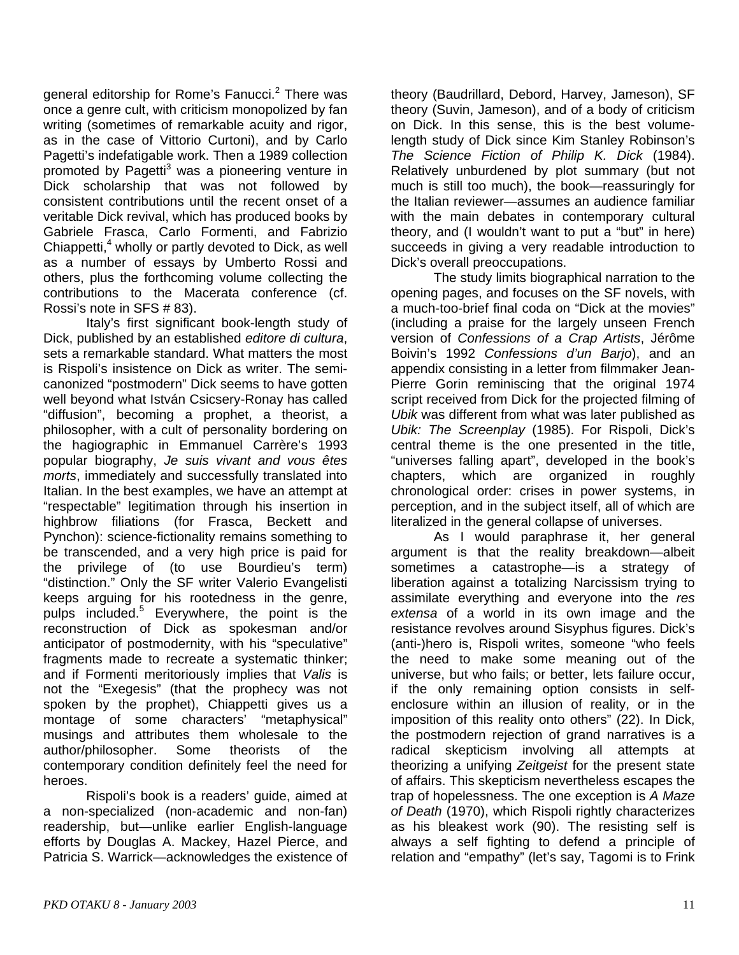general editorship for Rome's Fanucci.<sup>2</sup> There was once a genre cult, with criticism monopolized by fan writing (sometimes of remarkable acuity and rigor, as in the case of Vittorio Curtoni), and by Carlo Pagetti's indefatigable work. Then a 1989 collection promoted by Pagetti<sup>3</sup> was a pioneering venture in Dick scholarship that was not followed by consistent contributions until the recent onset of a veritable Dick revival, which has produced books by Gabriele Frasca, Carlo Formenti, and Fabrizio Chiappetti,<sup>4</sup> wholly or partly devoted to Dick, as well as a number of essays by Umberto Rossi and others, plus the forthcoming volume collecting the contributions to the Macerata conference (cf. Rossi's note in SFS # 83).

Italy's first significant book-length study of Dick, published by an established *editore di cultura*, sets a remarkable standard. What matters the most is Rispoli's insistence on Dick as writer. The semicanonized "postmodern" Dick seems to have gotten well beyond what István Csicsery-Ronay has called "diffusion", becoming a prophet, a theorist, a philosopher, with a cult of personality bordering on the hagiographic in Emmanuel Carrère's 1993 popular biography, *Je suis vivant and vous êtes morts*, immediately and successfully translated into Italian. In the best examples, we have an attempt at "respectable" legitimation through his insertion in highbrow filiations (for Frasca, Beckett and Pynchon): science-fictionality remains something to be transcended, and a very high price is paid for the privilege of (to use Bourdieu's term) "distinction." Only the SF writer Valerio Evangelisti keeps arguing for his rootedness in the genre, pulps included.<sup>5</sup> Everywhere, the point is the reconstruction of Dick as spokesman and/or anticipator of postmodernity, with his "speculative" fragments made to recreate a systematic thinker; and if Formenti meritoriously implies that *Valis* is not the "Exegesis" (that the prophecy was not spoken by the prophet), Chiappetti gives us a montage of some characters' "metaphysical" musings and attributes them wholesale to the author/philosopher. Some theorists of the contemporary condition definitely feel the need for heroes.

Rispoli's book is a readers' guide, aimed at a non-specialized (non-academic and non-fan) readership, but—unlike earlier English-language efforts by Douglas A. Mackey, Hazel Pierce, and Patricia S. Warrick—acknowledges the existence of

theory (Baudrillard, Debord, Harvey, Jameson), SF theory (Suvin, Jameson), and of a body of criticism on Dick. In this sense, this is the best volumelength study of Dick since Kim Stanley Robinson's *The Science Fiction of Philip K. Dick* (1984). Relatively unburdened by plot summary (but not much is still too much), the book—reassuringly for the Italian reviewer—assumes an audience familiar with the main debates in contemporary cultural theory, and (I wouldn't want to put a "but" in here) succeeds in giving a very readable introduction to Dick's overall preoccupations.

The study limits biographical narration to the opening pages, and focuses on the SF novels, with a much-too-brief final coda on "Dick at the movies" (including a praise for the largely unseen French version of *Confessions of a Crap Artists*, Jérôme Boivin's 1992 *Confessions d'un Barjo*), and an appendix consisting in a letter from filmmaker Jean-Pierre Gorin reminiscing that the original 1974 script received from Dick for the projected filming of *Ubik* was different from what was later published as *Ubik: The Screenplay* (1985). For Rispoli, Dick's central theme is the one presented in the title, "universes falling apart", developed in the book's chapters, which are organized in roughly chronological order: crises in power systems, in perception, and in the subject itself, all of which are literalized in the general collapse of universes.

As I would paraphrase it, her general argument is that the reality breakdown—albeit sometimes a catastrophe—is a strategy of liberation against a totalizing Narcissism trying to assimilate everything and everyone into the *res extensa* of a world in its own image and the resistance revolves around Sisyphus figures. Dick's (anti-)hero is, Rispoli writes, someone "who feels the need to make some meaning out of the universe, but who fails; or better, lets failure occur, if the only remaining option consists in selfenclosure within an illusion of reality, or in the imposition of this reality onto others" (22). In Dick, the postmodern rejection of grand narratives is a radical skepticism involving all attempts at theorizing a unifying *Zeitgeist* for the present state of affairs. This skepticism nevertheless escapes the trap of hopelessness. The one exception is *A Maze of Death* (1970), which Rispoli rightly characterizes as his bleakest work (90). The resisting self is always a self fighting to defend a principle of relation and "empathy" (let's say, Tagomi is to Frink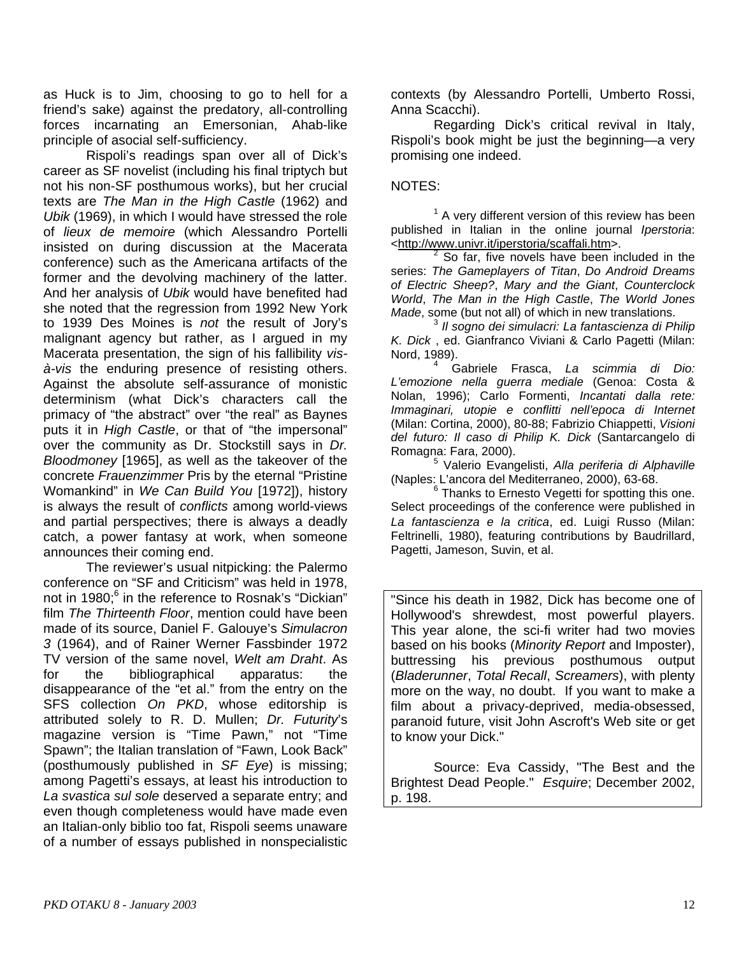as Huck is to Jim, choosing to go to hell for a friend's sake) against the predatory, all-controlling forces incarnating an Emersonian, Ahab-like principle of asocial self-sufficiency.

Rispoli's readings span over all of Dick's career as SF novelist (including his final triptych but not his non-SF posthumous works), but her crucial texts are *The Man in the High Castle* (1962) and *Ubik* (1969), in which I would have stressed the role of *lieux de memoire* (which Alessandro Portelli insisted on during discussion at the Macerata conference) such as the Americana artifacts of the former and the devolving machinery of the latter. And her analysis of *Ubik* would have benefited had she noted that the regression from 1992 New York to 1939 Des Moines is *not* the result of Jory's malignant agency but rather, as I argued in my Macerata presentation, the sign of his fallibility *visà-vis* the enduring presence of resisting others. Against the absolute self-assurance of monistic determinism (what Dick's characters call the primacy of "the abstract" over "the real" as Baynes puts it in *High Castle*, or that of "the impersonal" over the community as Dr. Stockstill says in *Dr. Bloodmoney* [1965], as well as the takeover of the concrete *Frauenzimmer* Pris by the eternal "Pristine Womankind" in *We Can Build You* [1972]), history is always the result of *conflicts* among world-views and partial perspectives; there is always a deadly catch, a power fantasy at work, when someone announces their coming end.

The reviewer's usual nitpicking: the Palermo conference on "SF and Criticism" was held in 1978, not in 1980;<sup>6</sup> in the reference to Rosnak's "Dickian" film *The Thirteenth Floor*, mention could have been made of its source, Daniel F. Galouye's *Simulacron 3* (1964), and of Rainer Werner Fassbinder 1972 TV version of the same novel, *Welt am Draht*. As for the bibliographical apparatus: the disappearance of the "et al." from the entry on the SFS collection *On PKD*, whose editorship is attributed solely to R. D. Mullen; *Dr. Futurity*'s magazine version is "Time Pawn," not "Time Spawn"; the Italian translation of "Fawn, Look Back" (posthumously published in *SF Eye*) is missing; among Pagetti's essays, at least his introduction to *La svastica sul sole* deserved a separate entry; and even though completeness would have made even an Italian-only biblio too fat, Rispoli seems unaware of a number of essays published in nonspecialistic

contexts (by Alessandro Portelli, Umberto Rossi, Anna Scacchi).

Regarding Dick's critical revival in Italy, Rispoli's book might be just the beginning—a very promising one indeed.

### NOTES:

 $1$  A very different version of this review has been published in Italian in the online journal *Iperstoria*: <http://www.univr.it/iperstoria/scaffali.htm>.

 $2$  So far, five novels have been included in the series: *The Gameplayers of Titan*, *Do Android Dreams of Electric Sheep?*, *Mary and the Giant*, *Counterclock World*, *The Man in the High Castle*, *The World Jones Made*, some (but not all) of which in new translations.

<sup>3</sup> *Il sogno dei simulacri: La fantascienza di Philip K. Dick* , ed. Gianfranco Viviani & Carlo Pagetti (Milan: Nord, 1989). 4

 Gabriele Frasca, *La scimmia di Dio: L'emozione nella guerra mediale* (Genoa: Costa & Nolan, 1996); Carlo Formenti, *Incantati dalla rete: Immaginari, utopie e conflitti nell'epoca di Internet* (Milan: Cortina, 2000), 80-88; Fabrizio Chiappetti, *Visioni del futuro: Il caso di Philip K. Dick* (Santarcangelo di Romagna: Fara, 2000).

 Valerio Evangelisti, *Alla periferia di Alphaville* (Naples: L'ancora del Mediterraneo, 2000), 63-68.

 $6$  Thanks to Ernesto Vegetti for spotting this one. Select proceedings of the conference were published in *La fantascienza e la critica*, ed. Luigi Russo (Milan: Feltrinelli, 1980), featuring contributions by Baudrillard, Pagetti, Jameson, Suvin, et al.

"Since his death in 1982, Dick has become one of Hollywood's shrewdest, most powerful players. This year alone, the sci-fi writer had two movies based on his books (*Minority Report* and Imposter), buttressing his previous posthumous output (*Bladerunner*, *Total Recall*, *Screamers*), with plenty more on the way, no doubt. If you want to make a film about a privacy-deprived, media-obsessed, paranoid future, visit John Ascroft's Web site or get to know your Dick."

Source: Eva Cassidy, "The Best and the Brightest Dead People." *Esquire*; December 2002, p. 198.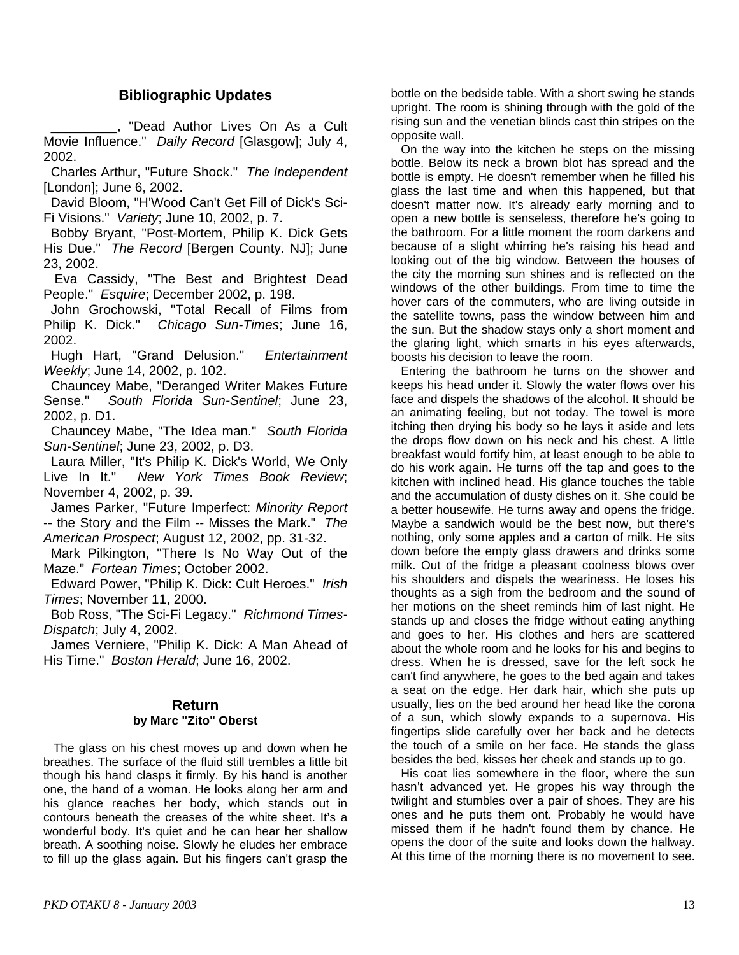### **Bibliographic Updates**

 \_\_\_\_\_\_\_\_\_, "Dead Author Lives On As a Cult Movie Influence." *Daily Record* [Glasgow]; July 4, 2002.

 Charles Arthur, "Future Shock." *The Independent*  [London]; June 6, 2002.

 David Bloom, "H'Wood Can't Get Fill of Dick's Sci-Fi Visions." *Variety*; June 10, 2002, p. 7.

 Bobby Bryant, "Post-Mortem, Philip K. Dick Gets His Due." *The Record* [Bergen County. NJ]; June 23, 2002.

 Eva Cassidy, "The Best and Brightest Dead People." *Esquire*; December 2002, p. 198.

 John Grochowski, "Total Recall of Films from Philip K. Dick." *Chicago Sun-Times*; June 16, 2002.

 Hugh Hart, "Grand Delusion." *Entertainment Weekly*; June 14, 2002, p. 102.

Chauncey Mabe, "Deranged Writer Makes Future Sense." *South Florida Sun-Sentinel*; June 23, 2002, p. D1.

 Chauncey Mabe, "The Idea man." *South Florida Sun-Sentinel*; June 23, 2002, p. D3.

 Laura Miller, "It's Philip K. Dick's World, We Only Live In It." *New York Times Book Review*; November 4, 2002, p. 39.

 James Parker, "Future Imperfect: *Minority Report*  -- the Story and the Film -- Misses the Mark." *The American Prospect*; August 12, 2002, pp. 31-32.

 Mark Pilkington, "There Is No Way Out of the Maze." *Fortean Times*; October 2002.

 Edward Power, "Philip K. Dick: Cult Heroes." *Irish Times*; November 11, 2000.

 Bob Ross, "The Sci-Fi Legacy." *Richmond Times-Dispatch*; July 4, 2002.

 James Verniere, "Philip K. Dick: A Man Ahead of His Time." *Boston Herald*; June 16, 2002.

### **Return by Marc "Zito" Oberst**

 The glass on his chest moves up and down when he breathes. The surface of the fluid still trembles a little bit though his hand clasps it firmly. By his hand is another one, the hand of a woman. He looks along her arm and his glance reaches her body, which stands out in contours beneath the creases of the white sheet. It's a wonderful body. It's quiet and he can hear her shallow breath. A soothing noise. Slowly he eludes her embrace to fill up the glass again. But his fingers can't grasp the

bottle on the bedside table. With a short swing he stands upright. The room is shining through with the gold of the rising sun and the venetian blinds cast thin stripes on the opposite wall.

 On the way into the kitchen he steps on the missing bottle. Below its neck a brown blot has spread and the bottle is empty. He doesn't remember when he filled his glass the last time and when this happened, but that doesn't matter now. It's already early morning and to open a new bottle is senseless, therefore he's going to the bathroom. For a little moment the room darkens and because of a slight whirring he's raising his head and looking out of the big window. Between the houses of the city the morning sun shines and is reflected on the windows of the other buildings. From time to time the hover cars of the commuters, who are living outside in the satellite towns, pass the window between him and the sun. But the shadow stays only a short moment and the glaring light, which smarts in his eyes afterwards, boosts his decision to leave the room.

 Entering the bathroom he turns on the shower and keeps his head under it. Slowly the water flows over his face and dispels the shadows of the alcohol. It should be an animating feeling, but not today. The towel is more itching then drying his body so he lays it aside and lets the drops flow down on his neck and his chest. A little breakfast would fortify him, at least enough to be able to do his work again. He turns off the tap and goes to the kitchen with inclined head. His glance touches the table and the accumulation of dusty dishes on it. She could be a better housewife. He turns away and opens the fridge. Maybe a sandwich would be the best now, but there's nothing, only some apples and a carton of milk. He sits down before the empty glass drawers and drinks some milk. Out of the fridge a pleasant coolness blows over his shoulders and dispels the weariness. He loses his thoughts as a sigh from the bedroom and the sound of her motions on the sheet reminds him of last night. He stands up and closes the fridge without eating anything and goes to her. His clothes and hers are scattered about the whole room and he looks for his and begins to dress. When he is dressed, save for the left sock he can't find anywhere, he goes to the bed again and takes a seat on the edge. Her dark hair, which she puts up usually, lies on the bed around her head like the corona of a sun, which slowly expands to a supernova. His fingertips slide carefully over her back and he detects the touch of a smile on her face. He stands the glass besides the bed, kisses her cheek and stands up to go.

 His coat lies somewhere in the floor, where the sun hasn't advanced yet. He gropes his way through the twilight and stumbles over a pair of shoes. They are his ones and he puts them ont. Probably he would have missed them if he hadn't found them by chance. He opens the door of the suite and looks down the hallway. At this time of the morning there is no movement to see.